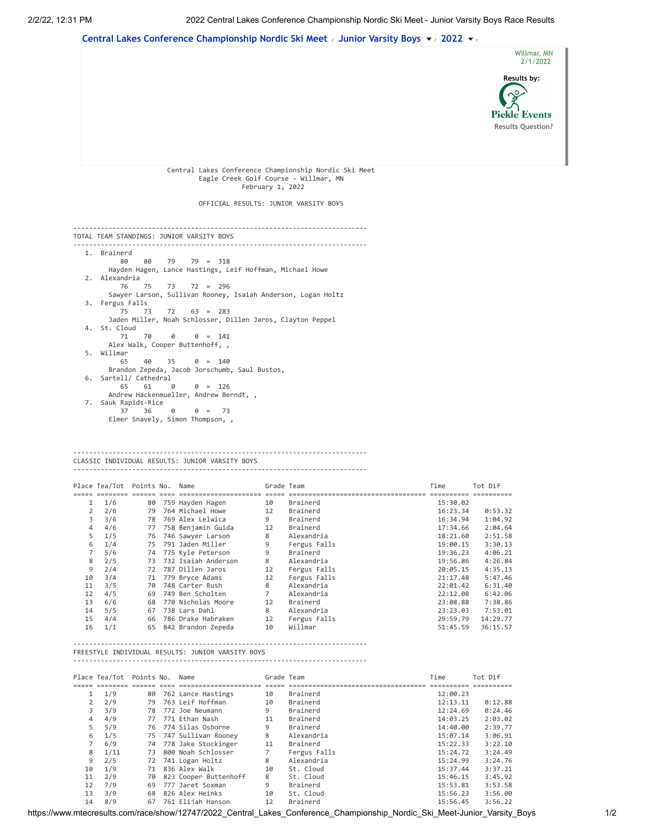



## CLASSIC INDIVIDUAL RESULTS: JUNIOR VARSITY BOYS

---------------------------------------------------------------------------

|    | Place Tea/Tot Points No. Name |    |                     | Grade Team     |              | Time     | Tot Dif  |
|----|-------------------------------|----|---------------------|----------------|--------------|----------|----------|
|    |                               |    |                     |                |              |          |          |
| 1  | 1/6                           | 80 | 759 Hayden Hagen    | 10             | Brainerd     | 15:30.02 |          |
| 2  | 2/6                           | 79 | 764 Michael Howe    | 12             | Brainerd     | 16:23.34 | 0:53.32  |
| 3  | 3/6                           | 78 | 769 Alex Lelwica    | 9              | Brainerd     | 16:34.94 | 1:04.92  |
| 4  | 4/6                           | 77 | 758 Benjamin Guida  | 12             | Brainerd     | 17:34.66 | 2:04.64  |
| 5  | 1/5                           | 76 | 746 Sawyer Larson   | 8              | Alexandria   | 18:21.60 | 2:51.58  |
| 6  | 1/4                           | 75 | 791 Jaden Miller    | 9              | Fergus Falls | 19:00.15 | 3:30.13  |
|    | 5/6                           | 74 | 775 Kyle Peterson   | 9              | Brainerd     | 19:36.23 | 4:06.21  |
| 8  | 2/5                           | 73 | 732 Isaiah Anderson | 8              | Alexandria   | 19:56.86 | 4:26.84  |
| 9  | 2/4                           | 72 | 787 Dillen Jaros    | 12             | Fergus Falls | 20:05.15 | 4:35.13  |
| 10 | 3/4                           | 71 | 779 Bryce Adams     | 12             | Fergus Falls | 21:17.48 | 5:47.46  |
| 11 | 3/5                           | 70 | 748 Carter Rush     | 8              | Alexandria   | 22:01.42 | 6:31.40  |
| 12 | 4/5                           | 69 | 749 Ben Scholten    | $\overline{7}$ | Alexandria   | 22:12.08 | 6:42.06  |
| 13 | 6/6                           | 68 | 770 Nicholas Moore  | 12             | Brainerd     | 23:08.88 | 7:38.86  |
| 14 | 5/5                           | 67 | 738 Lars Dahl       | 8              | Alexandria   | 23:23.03 | 7:53.01  |
| 15 | 4/4                           | 66 | 786 Drake Habraken  | 12             | Fergus Falls | 29:59.79 | 14:29.77 |
| 16 | 1/1                           | 65 | 842 Brandon Zepeda  | 10             | Willmar      | 51:45.59 | 36:15.57 |

---------------------------------------------------------------------------

## FREESTYLE INDIVIDUAL RESULTS: JUNIOR VARSITY BOYS

|                | Place Tea/Tot Points No. Name |    |                        | Grade Team |              | Time     | Tot Dif |
|----------------|-------------------------------|----|------------------------|------------|--------------|----------|---------|
|                |                               |    |                        |            |              |          |         |
| $\mathbf{1}$   | 1/9                           | 80 | 762 Lance Hastings     | 10         | Brainerd     | 12:00.23 |         |
| $\overline{2}$ | 2/9                           | 79 | 763 Leif Hoffman       | 10         | Brainerd     | 12:13.11 | 0:12.88 |
| 3              | 3/9                           | 78 | 772 Joe Neumann        | 9          | Brainerd     | 12:24.69 | 0:24.46 |
| 4              | 4/9                           |    | 77 771 Ethan Nash      | 11         | Brainerd     | 14:03.25 | 2:03.02 |
| 5              | 5/9                           | 76 | 774 Silas Osborne      | 9          | Brainerd     | 14:40.00 | 2:39.77 |
| 6              | 1/5                           | 75 | 747 Sullivan Rooney    | 8          | Alexandria   | 15:07.14 | 3:06.91 |
|                | 6/9                           |    | 74 778 Jake Stockinger | 11         | Brainerd     | 15:22.33 | 3:22.10 |
| 8              | 1/11                          | 73 | 800 Noah Schlosser     |            | Fergus Falls | 15:24.72 | 3:24.49 |
| 9              | 2/5                           | 72 | 741 Logan Holtz        | 8          | Alexandria   | 15:24.99 | 3:24.76 |
| 10             | 1/9                           |    | 71 836 Alex Walk       | 10         | St. Cloud    | 15:37.44 | 3:37.21 |
| 11             | 2/9                           | 70 | 823 Cooper Buttenhoff  | 8          | St. Cloud    | 15:46.15 | 3:45.92 |
| 12             | 7/9                           | 69 | 777 Jaret Soxman       | 9          | Brainerd     | 15:53.81 | 3:53.58 |
| 13             | 3/9                           | 68 | 826 Alex Heinks        | 10         | St. Cloud    | 15:56.23 | 3:56.00 |
| 14             | 8/9                           | 67 | 761 Elijah Hanson      | 12         | Brainerd     | 15:56.45 | 3:56.22 |